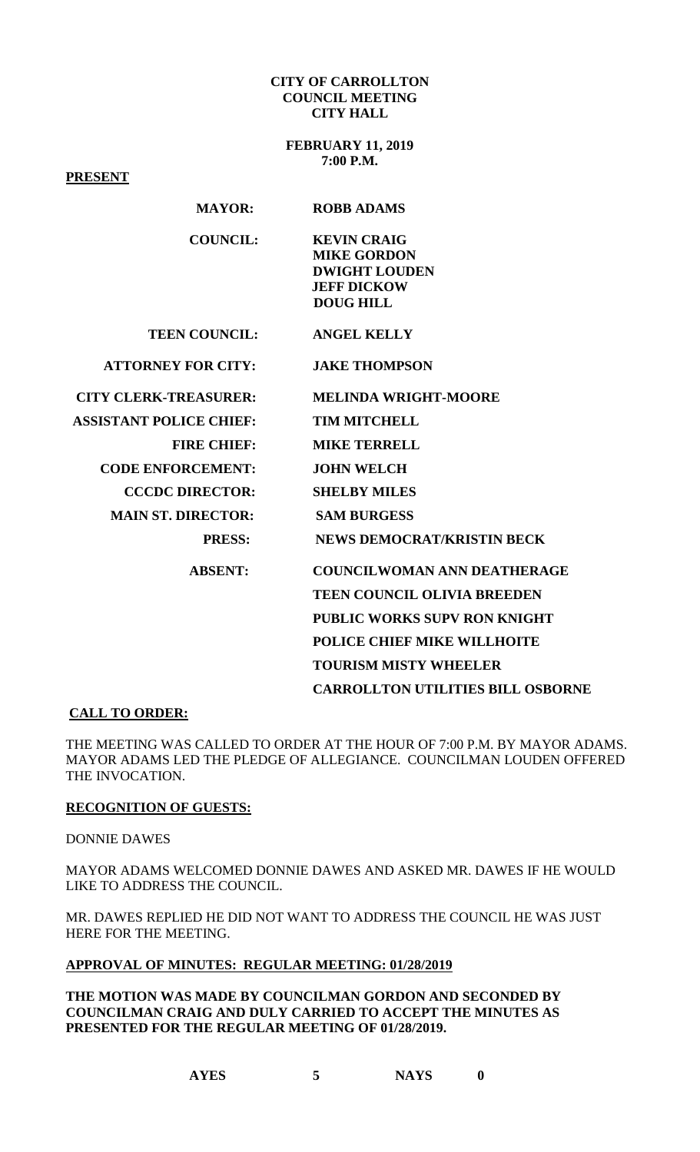#### **CITY OF CARROLLTON COUNCIL MEETING CITY HALL**

**FEBRUARY 11, 2019 7:00 P.M.**

**PRESENT**

| I KEDER I                      |                                          |
|--------------------------------|------------------------------------------|
| <b>MAYOR:</b>                  | <b>ROBB ADAMS</b>                        |
| <b>COUNCIL:</b>                | <b>KEVIN CRAIG</b>                       |
|                                | <b>MIKE GORDON</b>                       |
|                                | <b>DWIGHT LOUDEN</b>                     |
|                                | <b>JEFF DICKOW</b>                       |
|                                | <b>DOUG HILL</b>                         |
| <b>TEEN COUNCIL:</b>           | <b>ANGEL KELLY</b>                       |
| <b>ATTORNEY FOR CITY:</b>      | <b>JAKE THOMPSON</b>                     |
| <b>CITY CLERK-TREASURER:</b>   | <b>MELINDA WRIGHT-MOORE</b>              |
| <b>ASSISTANT POLICE CHIEF:</b> | <b>TIM MITCHELL</b>                      |
| <b>FIRE CHIEF:</b>             | <b>MIKE TERRELL</b>                      |
| <b>CODE ENFORCEMENT:</b>       | <b>JOHN WELCH</b>                        |
| <b>CCCDC DIRECTOR:</b>         | <b>SHELBY MILES</b>                      |
| <b>MAIN ST. DIRECTOR:</b>      | <b>SAM BURGESS</b>                       |
| <b>PRESS:</b>                  | <b>NEWS DEMOCRAT/KRISTIN BECK</b>        |
| <b>ABSENT:</b>                 | <b>COUNCILWOMAN ANN DEATHERAGE</b>       |
|                                | <b>TEEN COUNCIL OLIVIA BREEDEN</b>       |
|                                | PUBLIC WORKS SUPV RON KNIGHT             |
|                                | POLICE CHIEF MIKE WILLHOITE              |
|                                | <b>TOURISM MISTY WHEELER</b>             |
|                                | <b>CARROLLTON UTILITIES BILL OSBORNE</b> |

## **CALL TO ORDER:**

THE MEETING WAS CALLED TO ORDER AT THE HOUR OF 7:00 P.M. BY MAYOR ADAMS. MAYOR ADAMS LED THE PLEDGE OF ALLEGIANCE. COUNCILMAN LOUDEN OFFERED THE INVOCATION.

## **RECOGNITION OF GUESTS:**

DONNIE DAWES

MAYOR ADAMS WELCOMED DONNIE DAWES AND ASKED MR. DAWES IF HE WOULD LIKE TO ADDRESS THE COUNCIL.

MR. DAWES REPLIED HE DID NOT WANT TO ADDRESS THE COUNCIL HE WAS JUST HERE FOR THE MEETING.

# **APPROVAL OF MINUTES: REGULAR MEETING: 01/28/2019**

**THE MOTION WAS MADE BY COUNCILMAN GORDON AND SECONDED BY COUNCILMAN CRAIG AND DULY CARRIED TO ACCEPT THE MINUTES AS PRESENTED FOR THE REGULAR MEETING OF 01/28/2019.**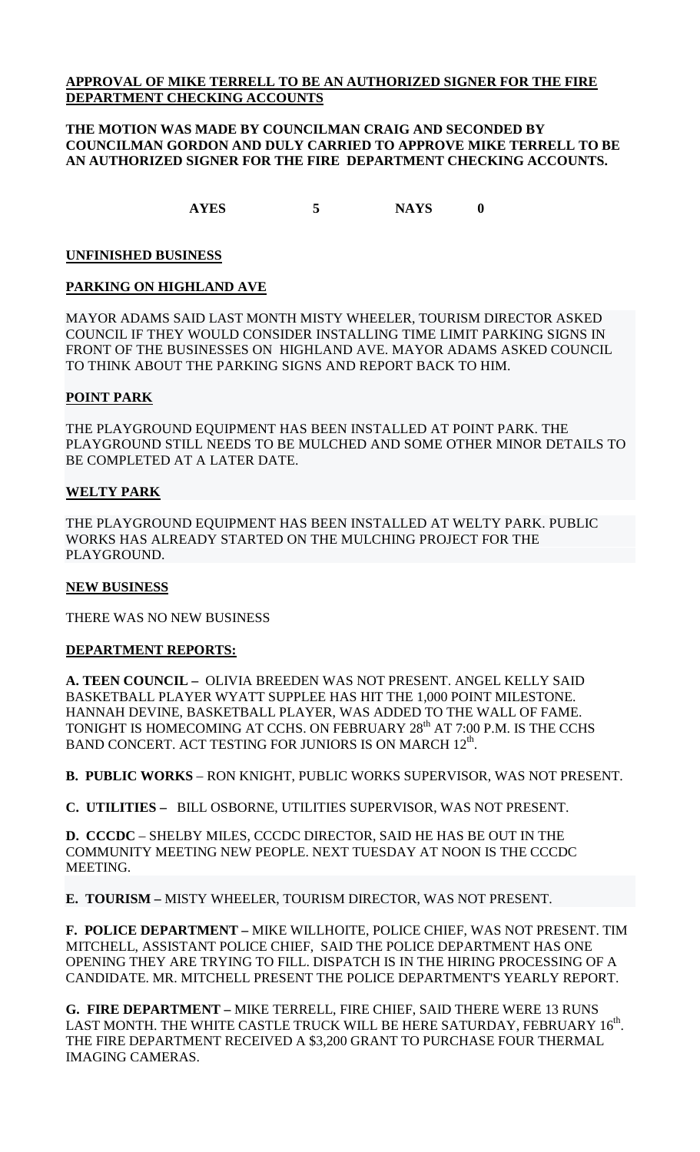# **APPROVAL OF MIKE TERRELL TO BE AN AUTHORIZED SIGNER FOR THE FIRE DEPARTMENT CHECKING ACCOUNTS**

## **THE MOTION WAS MADE BY COUNCILMAN CRAIG AND SECONDED BY COUNCILMAN GORDON AND DULY CARRIED TO APPROVE MIKE TERRELL TO BE AN AUTHORIZED SIGNER FOR THE FIRE DEPARTMENT CHECKING ACCOUNTS.**

**AYES 5 NAYS 0**

# **UNFINISHED BUSINESS**

# **PARKING ON HIGHLAND AVE**

MAYOR ADAMS SAID LAST MONTH MISTY WHEELER, TOURISM DIRECTOR ASKED COUNCIL IF THEY WOULD CONSIDER INSTALLING TIME LIMIT PARKING SIGNS IN FRONT OF THE BUSINESSES ON HIGHLAND AVE. MAYOR ADAMS ASKED COUNCIL TO THINK ABOUT THE PARKING SIGNS AND REPORT BACK TO HIM.

## **POINT PARK**

THE PLAYGROUND EQUIPMENT HAS BEEN INSTALLED AT POINT PARK. THE PLAYGROUND STILL NEEDS TO BE MULCHED AND SOME OTHER MINOR DETAILS TO BE COMPLETED AT A LATER DATE.

# **WELTY PARK**

THE PLAYGROUND EQUIPMENT HAS BEEN INSTALLED AT WELTY PARK. PUBLIC WORKS HAS ALREADY STARTED ON THE MULCHING PROJECT FOR THE PLAYGROUND.

## **NEW BUSINESS**

THERE WAS NO NEW BUSINESS

## **DEPARTMENT REPORTS:**

**A. TEEN COUNCIL –** OLIVIA BREEDEN WAS NOT PRESENT. ANGEL KELLY SAID BASKETBALL PLAYER WYATT SUPPLEE HAS HIT THE 1,000 POINT MILESTONE. HANNAH DEVINE, BASKETBALL PLAYER, WAS ADDED TO THE WALL OF FAME. TONIGHT IS HOMECOMING AT CCHS. ON FEBRUARY 28<sup>th</sup> AT 7:00 P.M. IS THE CCHS BAND CONCERT. ACT TESTING FOR JUNIORS IS ON MARCH 12<sup>th</sup>.

**B. PUBLIC WORKS** – RON KNIGHT, PUBLIC WORKS SUPERVISOR, WAS NOT PRESENT.

**C. UTILITIES –** BILL OSBORNE, UTILITIES SUPERVISOR, WAS NOT PRESENT.

**D. CCCDC** – SHELBY MILES, CCCDC DIRECTOR, SAID HE HAS BE OUT IN THE COMMUNITY MEETING NEW PEOPLE. NEXT TUESDAY AT NOON IS THE CCCDC MEETING.

**E. TOURISM –** MISTY WHEELER, TOURISM DIRECTOR, WAS NOT PRESENT.

**F. POLICE DEPARTMENT –** MIKE WILLHOITE, POLICE CHIEF, WAS NOT PRESENT. TIM MITCHELL, ASSISTANT POLICE CHIEF, SAID THE POLICE DEPARTMENT HAS ONE OPENING THEY ARE TRYING TO FILL. DISPATCH IS IN THE HIRING PROCESSING OF A CANDIDATE. MR. MITCHELL PRESENT THE POLICE DEPARTMENT'S YEARLY REPORT.

**G. FIRE DEPARTMENT –** MIKE TERRELL, FIRE CHIEF, SAID THERE WERE 13 RUNS LAST MONTH. THE WHITE CASTLE TRUCK WILL BE HERE SATURDAY, FEBRUARY  $16^{\text{th}}$ . THE FIRE DEPARTMENT RECEIVED A \$3,200 GRANT TO PURCHASE FOUR THERMAL IMAGING CAMERAS.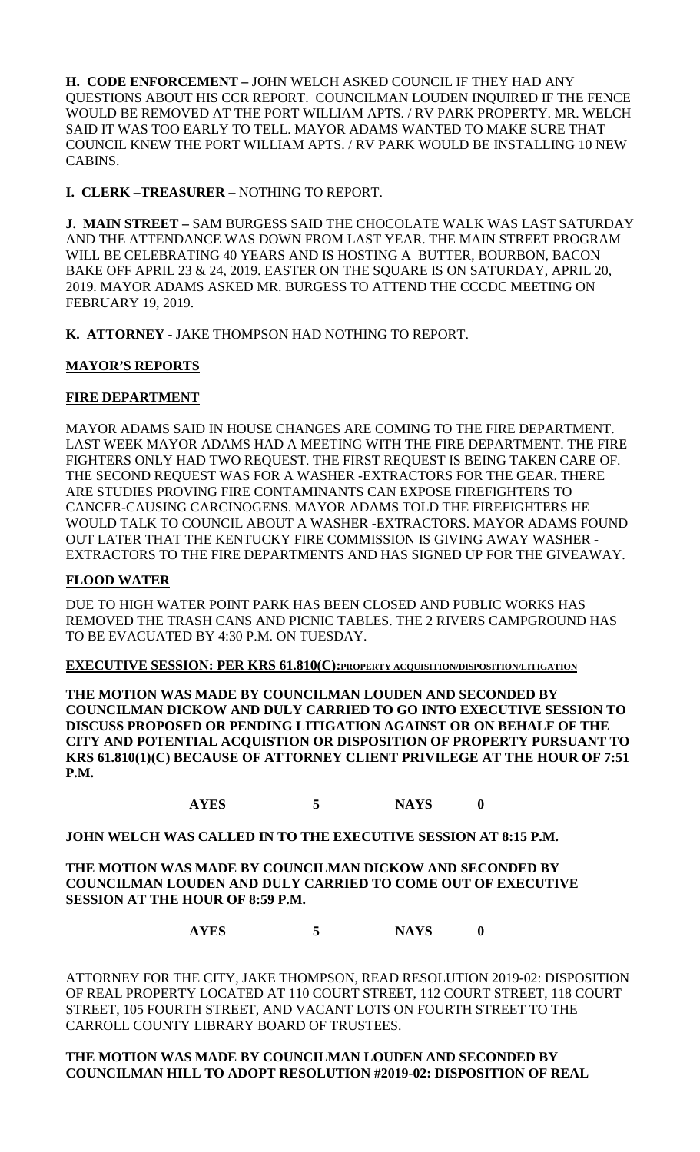**H. CODE ENFORCEMENT –** JOHN WELCH ASKED COUNCIL IF THEY HAD ANY QUESTIONS ABOUT HIS CCR REPORT. COUNCILMAN LOUDEN INQUIRED IF THE FENCE WOULD BE REMOVED AT THE PORT WILLIAM APTS. / RV PARK PROPERTY. MR. WELCH SAID IT WAS TOO EARLY TO TELL. MAYOR ADAMS WANTED TO MAKE SURE THAT COUNCIL KNEW THE PORT WILLIAM APTS. / RV PARK WOULD BE INSTALLING 10 NEW CABINS.

**I. CLERK –TREASURER –** NOTHING TO REPORT.

**J. MAIN STREET –** SAM BURGESS SAID THE CHOCOLATE WALK WAS LAST SATURDAY AND THE ATTENDANCE WAS DOWN FROM LAST YEAR. THE MAIN STREET PROGRAM WILL BE CELEBRATING 40 YEARS AND IS HOSTING A BUTTER, BOURBON, BACON BAKE OFF APRIL 23 & 24, 2019. EASTER ON THE SQUARE IS ON SATURDAY, APRIL 20, 2019. MAYOR ADAMS ASKED MR. BURGESS TO ATTEND THE CCCDC MEETING ON FEBRUARY 19, 2019.

**K. ATTORNEY -** JAKE THOMPSON HAD NOTHING TO REPORT.

# **MAYOR'S REPORTS**

# **FIRE DEPARTMENT**

MAYOR ADAMS SAID IN HOUSE CHANGES ARE COMING TO THE FIRE DEPARTMENT. LAST WEEK MAYOR ADAMS HAD A MEETING WITH THE FIRE DEPARTMENT. THE FIRE FIGHTERS ONLY HAD TWO REQUEST. THE FIRST REQUEST IS BEING TAKEN CARE OF. THE SECOND REQUEST WAS FOR A WASHER -EXTRACTORS FOR THE GEAR. THERE ARE STUDIES PROVING FIRE CONTAMINANTS CAN EXPOSE FIREFIGHTERS TO CANCER-CAUSING CARCINOGENS. MAYOR ADAMS TOLD THE FIREFIGHTERS HE WOULD TALK TO COUNCIL ABOUT A WASHER -EXTRACTORS. MAYOR ADAMS FOUND OUT LATER THAT THE KENTUCKY FIRE COMMISSION IS GIVING AWAY WASHER - EXTRACTORS TO THE FIRE DEPARTMENTS AND HAS SIGNED UP FOR THE GIVEAWAY.

# **FLOOD WATER**

DUE TO HIGH WATER POINT PARK HAS BEEN CLOSED AND PUBLIC WORKS HAS REMOVED THE TRASH CANS AND PICNIC TABLES. THE 2 RIVERS CAMPGROUND HAS TO BE EVACUATED BY 4:30 P.M. ON TUESDAY.

**EXECUTIVE SESSION: PER KRS 61.810(C):PROPERTY ACQUISITION/DISPOSITION/LITIGATION**

**THE MOTION WAS MADE BY COUNCILMAN LOUDEN AND SECONDED BY COUNCILMAN DICKOW AND DULY CARRIED TO GO INTO EXECUTIVE SESSION TO DISCUSS PROPOSED OR PENDING LITIGATION AGAINST OR ON BEHALF OF THE CITY AND POTENTIAL ACQUISTION OR DISPOSITION OF PROPERTY PURSUANT TO KRS 61.810(1)(C) BECAUSE OF ATTORNEY CLIENT PRIVILEGE AT THE HOUR OF 7:51 P.M.**

**AYES 5 NAYS 0**

**JOHN WELCH WAS CALLED IN TO THE EXECUTIVE SESSION AT 8:15 P.M.**

**THE MOTION WAS MADE BY COUNCILMAN DICKOW AND SECONDED BY COUNCILMAN LOUDEN AND DULY CARRIED TO COME OUT OF EXECUTIVE SESSION AT THE HOUR OF 8:59 P.M.**

**AYES 5 NAYS 0**

ATTORNEY FOR THE CITY, JAKE THOMPSON, READ RESOLUTION 2019-02: DISPOSITION OF REAL PROPERTY LOCATED AT 110 COURT STREET, 112 COURT STREET, 118 COURT STREET, 105 FOURTH STREET, AND VACANT LOTS ON FOURTH STREET TO THE CARROLL COUNTY LIBRARY BOARD OF TRUSTEES.

## **THE MOTION WAS MADE BY COUNCILMAN LOUDEN AND SECONDED BY COUNCILMAN HILL TO ADOPT RESOLUTION #2019-02: DISPOSITION OF REAL**